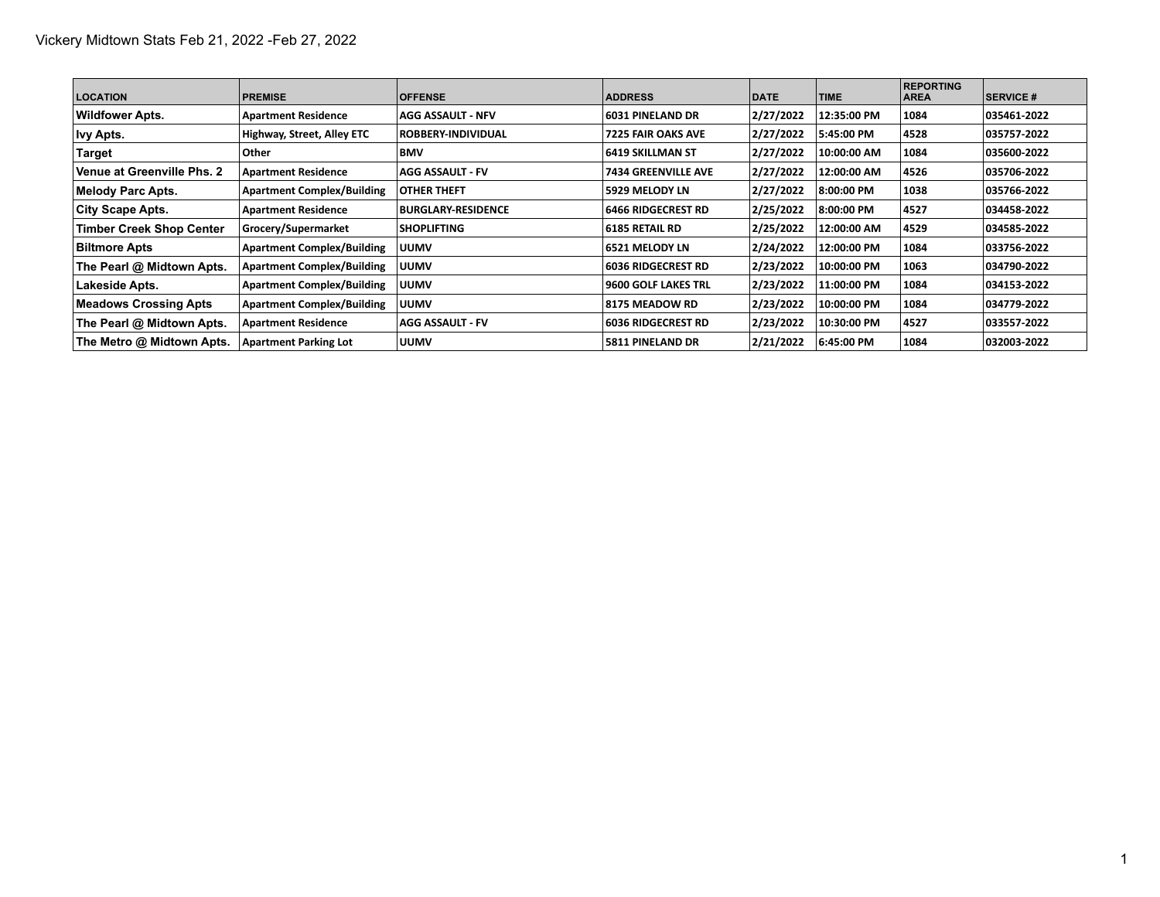| <b>LOCATION</b>              | <b>PREMISE</b>                    | <b>OFFENSE</b>            | <b>ADDRESS</b>             | <b>DATE</b> | <b>TIME</b> | <b>REPORTING</b><br><b>AREA</b> | <b>SERVICE #</b> |
|------------------------------|-----------------------------------|---------------------------|----------------------------|-------------|-------------|---------------------------------|------------------|
| <b>Wildfower Apts.</b>       | <b>Apartment Residence</b>        | <b>AGG ASSAULT - NFV</b>  | <b>6031 PINELAND DR</b>    | 2/27/2022   | 12:35:00 PM | 1084                            | 035461-2022      |
| <b>Ivy Apts.</b>             | Highway, Street, Alley ETC        | <b>ROBBERY-INDIVIDUAL</b> | <b>7225 FAIR OAKS AVE</b>  | 2/27/2022   | 5:45:00 PM  | 4528                            | 035757-2022      |
| ∣Target                      | Other                             | <b>BMV</b>                | 6419 SKILLMAN ST           | 2/27/2022   | 10:00:00 AM | 1084                            | 035600-2022      |
| Venue at Greenville Phs. 2   | <b>Apartment Residence</b>        | AGG ASSAULT - FV          | <b>7434 GREENVILLE AVE</b> | 2/27/2022   | 12:00:00 AM | 4526                            | 035706-2022      |
| <b>Melody Parc Apts.</b>     | <b>Apartment Complex/Building</b> | <b>OTHER THEFT</b>        | 5929 MELODY LN             | 2/27/2022   | 8:00:00 PM  | 1038                            | 035766-2022      |
| <b>City Scape Apts.</b>      | <b>Apartment Residence</b>        | <b>BURGLARY-RESIDENCE</b> | <b>6466 RIDGECREST RD</b>  | 2/25/2022   | 8:00:00 PM  | 4527                            | 034458-2022      |
| Timber Creek Shop Center     | Grocery/Supermarket               | <b>SHOPLIFTING</b>        | <b>6185 RETAIL RD</b>      | 2/25/2022   | 12:00:00 AM | 4529                            | 034585-2022      |
| <b>Biltmore Apts</b>         | <b>Apartment Complex/Building</b> | <b>UUMV</b>               | <b>6521 MELODY LN</b>      | 2/24/2022   | 12:00:00 PM | 1084                            | 033756-2022      |
| The Pearl @ Midtown Apts.    | <b>Apartment Complex/Building</b> | <b>UUMV</b>               | <b>6036 RIDGECREST RD</b>  | 2/23/2022   | 10:00:00 PM | 1063                            | 034790-2022      |
| Lakeside Apts.               | <b>Apartment Complex/Building</b> | <b>UUMV</b>               | <b>9600 GOLF LAKES TRL</b> | 2/23/2022   | 11:00:00 PM | 1084                            | 034153-2022      |
| <b>Meadows Crossing Apts</b> | <b>Apartment Complex/Building</b> | <b>UUMV</b>               | 8175 MEADOW RD             | 2/23/2022   | 10:00:00 PM | 1084                            | 034779-2022      |
| The Pearl @ Midtown Apts.    | <b>Apartment Residence</b>        | AGG ASSAULT - FV          | <b>6036 RIDGECREST RD</b>  | 2/23/2022   | 10:30:00 PM | 4527                            | 033557-2022      |
| The Metro @ Midtown Apts.    | <b>Apartment Parking Lot</b>      | <b>UUMV</b>               | 5811 PINELAND DR           | 2/21/2022   | 6:45:00 PM  | 1084                            | 032003-2022      |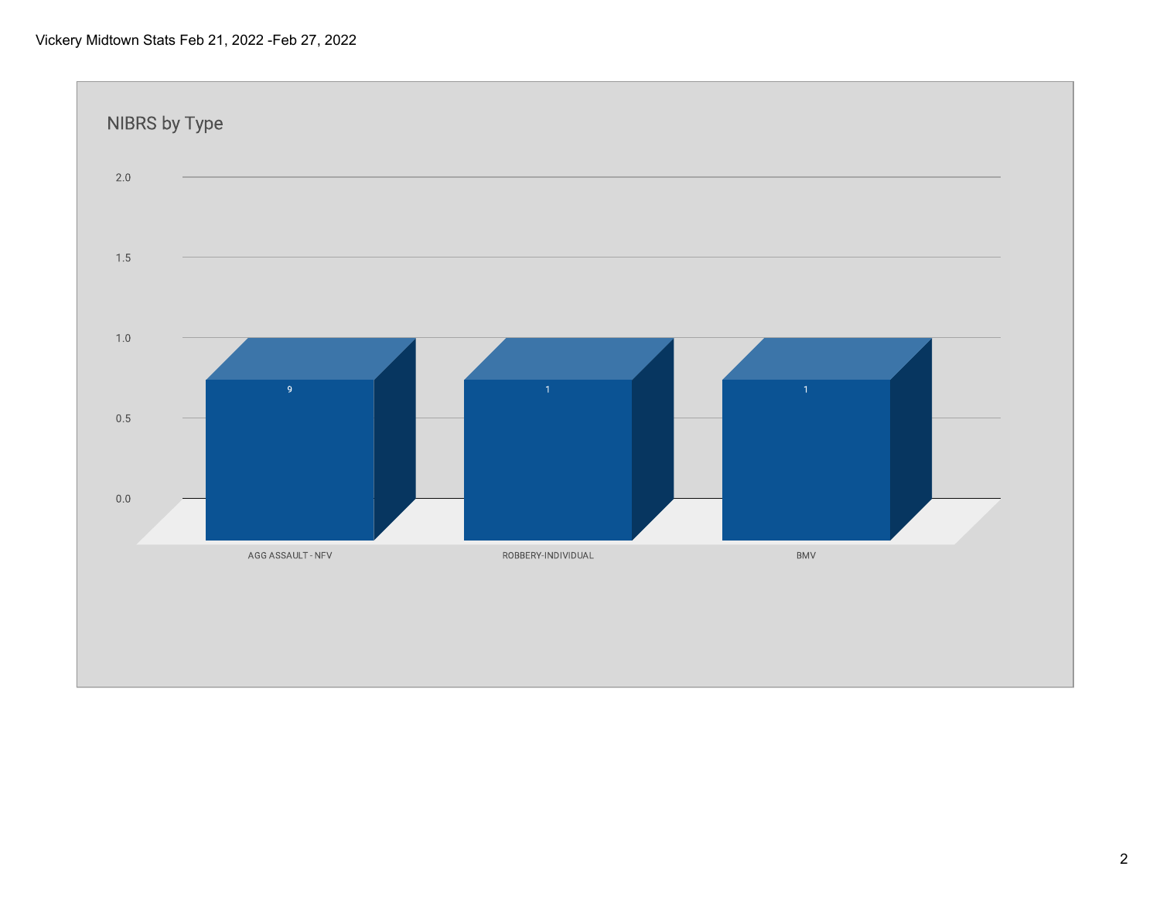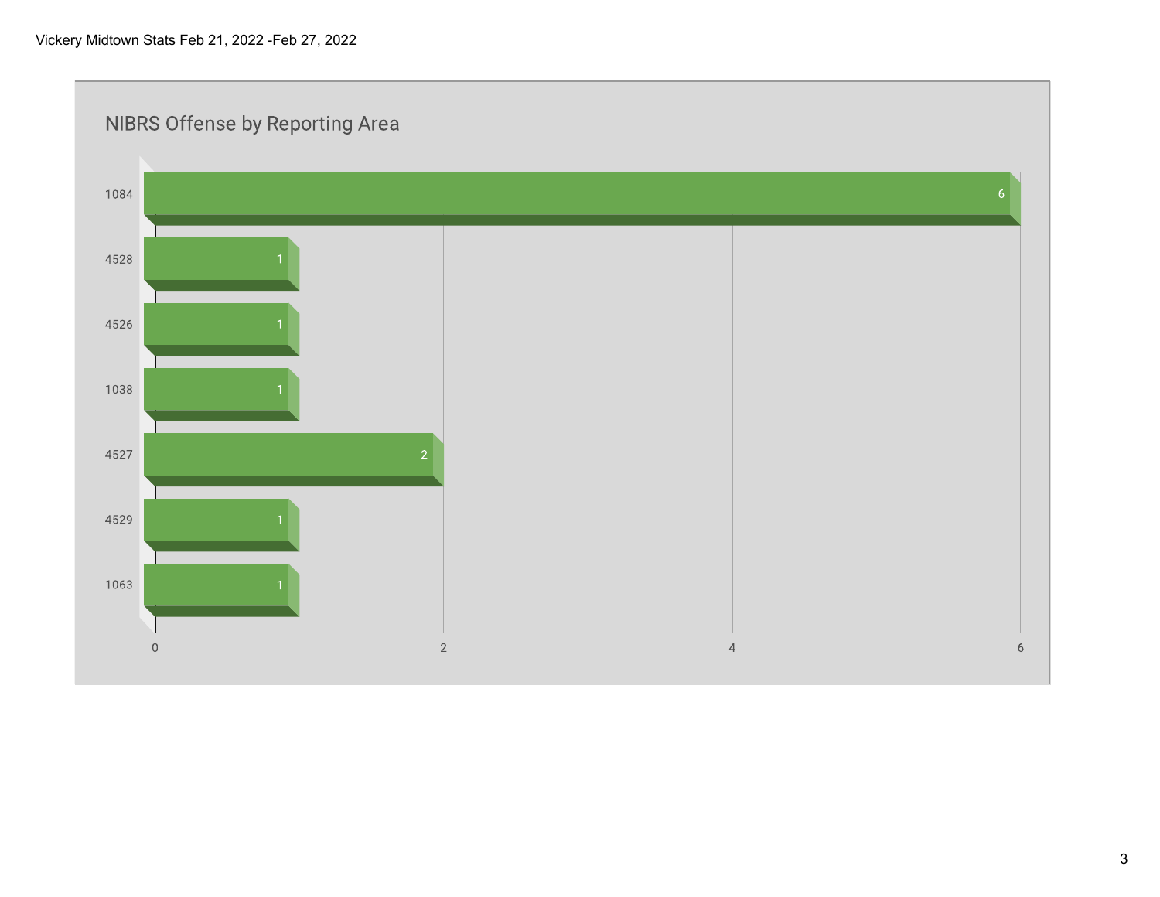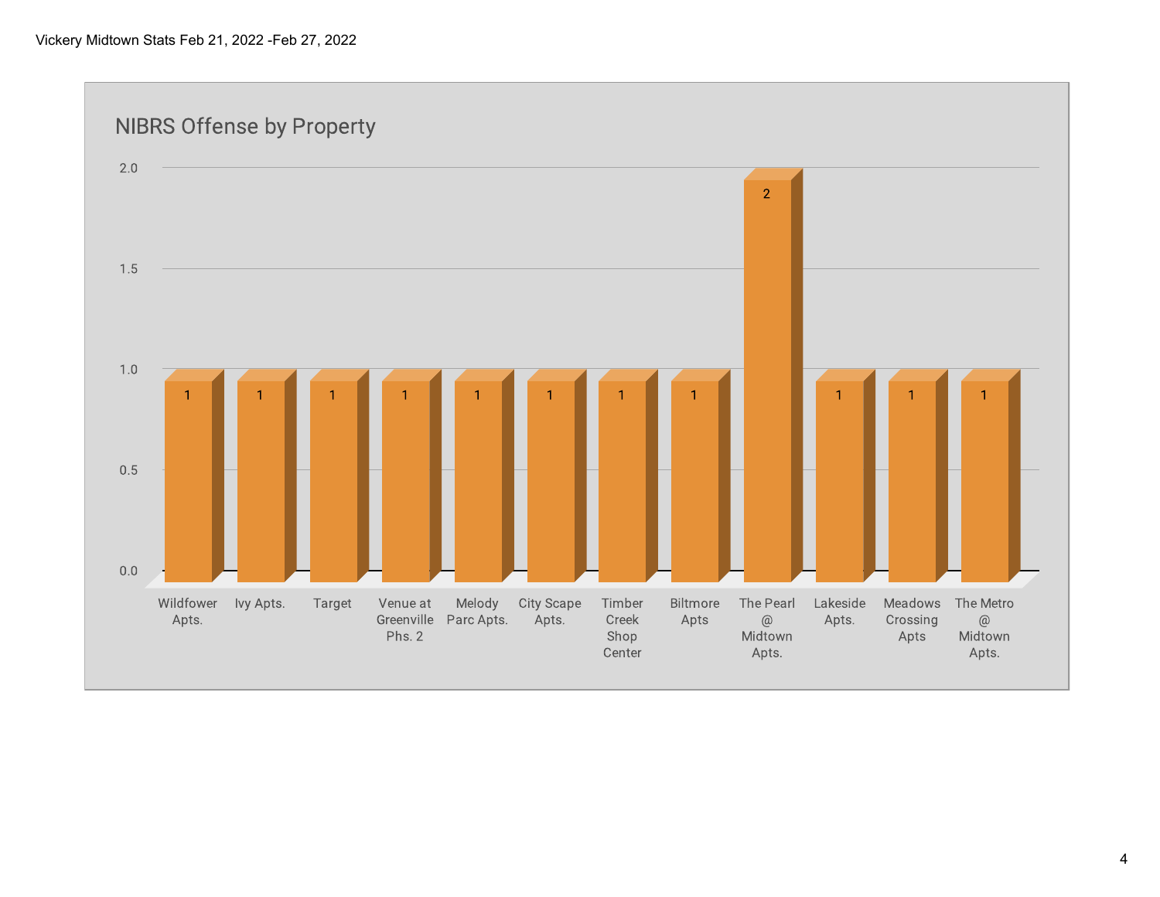